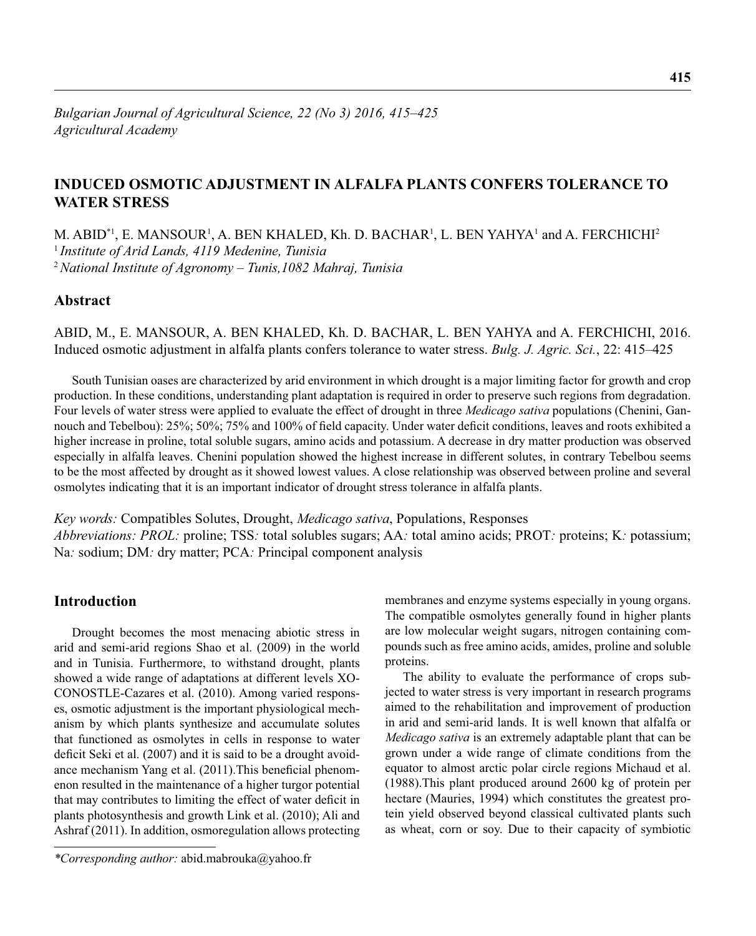# **INDUCED OSMOTIC ADJUSTMENT IN ALFALFA PLANTS CONFERS TOLERANCE TO WATER STRESS**

M. ABID\*<sup>1</sup>, E. MANSOUR<sup>1</sup>, A. BEN KHALED, Kh. D. BACHAR<sup>1</sup>, L. BEN YAHYA<sup>1</sup> and A. FERCHICHI<sup>2</sup> <sup>1</sup>*Institute of Arid Lands, 4119 Medenine, Tunisia* <sup>2</sup>*National Institute of Agronomy – Tunis,1082 Mahraj, Tunisia*

## **Abstract**

ABID, M., E. MANSOUR, A. BEN KHALED, Kh. D. BACHAR, L. BEN YAHYA and A. FERCHICHI, 2016. Induced osmotic adjustment in alfalfa plants confers tolerance to water stress. *Bulg. J. Agric. Sci.*, 22: 415–425

South Tunisian oases are characterized by arid environment in which drought is a major limiting factor for growth and crop production. In these conditions, understanding plant adaptation is required in order to preserve such regions from degradation. Four levels of water stress were applied to evaluate the effect of drought in three *Medicago sativa* populations (Chenini, Gannouch and Tebelbou): 25%; 50%; 75% and 100% of field capacity. Under water deficit conditions, leaves and roots exhibited a higher increase in proline, total soluble sugars, amino acids and potassium. A decrease in dry matter production was observed especially in alfalfa leaves. Chenini population showed the highest increase in different solutes, in contrary Tebelbou seems to be the most affected by drought as it showed lowest values. A close relationship was observed between proline and several osmolytes indicating that it is an important indicator of drought stress tolerance in alfalfa plants.

*Key words:* Compatibles Solutes, Drought, *Medicago sativa*, Populations, Responses *Abbreviations: PROL:* proline; TSS*:* total solubles sugars; AA*:* total amino acids; PROT*:* proteins; K*:* potassium; Na*:* sodium; DM*:* dry matter; PCA*:* Principal component analysis

## **Introduction**

Drought becomes the most menacing abiotic stress in arid and semi-arid regions Shao et al. (2009) in the world and in Tunisia. Furthermore, to withstand drought, plants showed a wide range of adaptations at different levels XO-CONOSTLE-Cazares et al. (2010). Among varied responses, osmotic adjustment is the important physiological mechanism by which plants synthesize and accumulate solutes that functioned as osmolytes in cells in response to water deficit Seki et al.  $(2007)$  and it is said to be a drought avoidance mechanism Yang et al. (2011). This beneficial phenomenon resulted in the maintenance of a higher turgor potential that may contributes to limiting the effect of water deficit in plants photosynthesis and growth Link et al. (2010); Ali and Ashraf (2011). In addition, osmoregulation allows protecting membranes and enzyme systems especially in young organs. The compatible osmolytes generally found in higher plants are low molecular weight sugars, nitrogen containing compounds such as free amino acids, amides, proline and soluble proteins.

The ability to evaluate the performance of crops subjected to water stress is very important in research programs aimed to the rehabilitation and improvement of production in arid and semi-arid lands. It is well known that alfalfa or *Medicago sativa* is an extremely adaptable plant that can be grown under a wide range of climate conditions from the equator to almost arctic polar circle regions Michaud et al. (1988).This plant produced around 2600 kg of protein per hectare (Mauries, 1994) which constitutes the greatest protein yield observed beyond classical cultivated plants such as wheat, corn or soy. Due to their capacity of symbiotic

*<sup>\*</sup>Corresponding author:* abid.mabrouka@yahoo.fr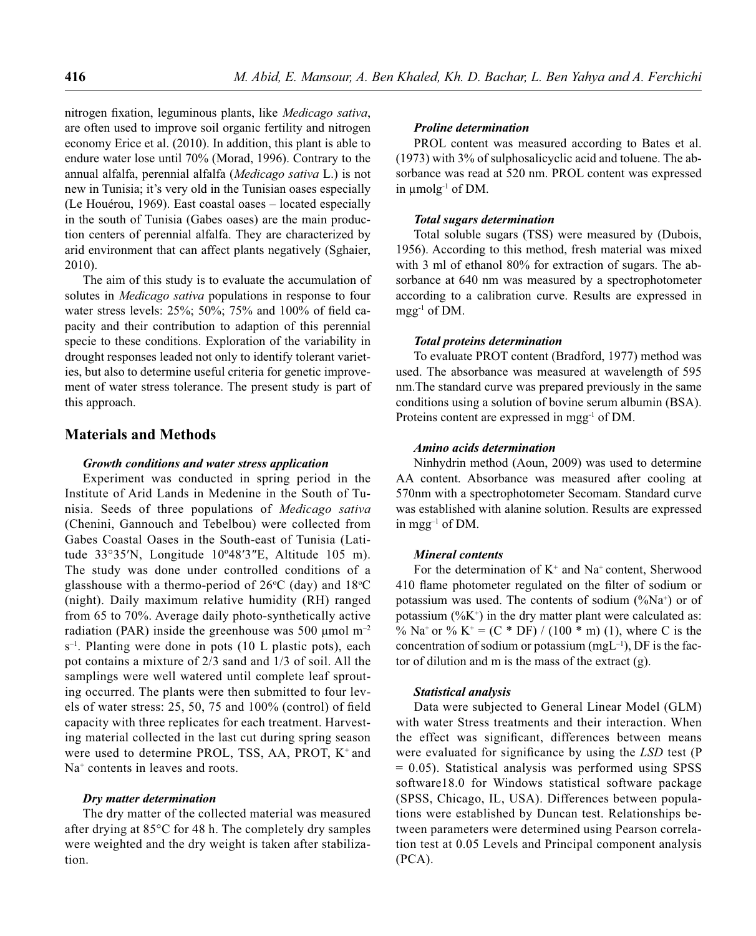nitrogen fixation, leguminous plants, like *Medicago sativa*, are often used to improve soil organic fertility and nitrogen economy Erice et al. (2010). In addition, this plant is able to endure water lose until 70% (Morad, 1996). Contrary to the annual alfalfa, perennial alfalfa (*Medicago sativa* L.) is not new in Tunisia; it's very old in the Tunisian oases especially (Le Houérou, 1969). East coastal oases – located especially in the south of Tunisia (Gabes oases) are the main production centers of perennial alfalfa. They are characterized by arid environment that can affect plants negatively (Sghaier, 2010).

The aim of this study is to evaluate the accumulation of solutes in *Medicago sativa* populations in response to four water stress levels:  $25\%$ ;  $50\%$ ;  $75\%$  and  $100\%$  of field capacity and their contribution to adaption of this perennial specie to these conditions. Exploration of the variability in drought responses leaded not only to identify tolerant varieties, but also to determine useful criteria for genetic improvement of water stress tolerance. The present study is part of this approach.

### **Materials and Methods**

### *Growth conditions and water stress application*

Experiment was conducted in spring period in the Institute of Arid Lands in Medenine in the South of Tunisia. Seeds of three populations of *Medicago sativa*  (Chenini, Gannouch and Tebelbou) were collected from Gabes Coastal Oases in the South-east of Tunisia (Latitude 33°35′N, Longitude 10º48′3″E, Altitude 105 m). The study was done under controlled conditions of a glasshouse with a thermo-period of  $26^{\circ}$ C (day) and  $18^{\circ}$ C (night). Daily maximum relative humidity (RH) ranged from 65 to 70%. Average daily photo-synthetically active radiation (PAR) inside the greenhouse was 500  $\mu$ mol m<sup>-2</sup>  $s^{-1}$ . Planting were done in pots (10 L plastic pots), each pot contains a mixture of 2/3 sand and 1/3 of soil. All the samplings were well watered until complete leaf sprouting occurred. The plants were then submitted to four levels of water stress:  $25, 50, 75$  and  $100\%$  (control) of field capacity with three replicates for each treatment. Harvesting material collected in the last cut during spring season were used to determine PROL, TSS, AA, PROT, K<sup>+</sup> and Na<sup>+</sup> contents in leaves and roots.

### *Dry matter determination*

The dry matter of the collected material was measured after drying at 85°C for 48 h. The completely dry samples were weighted and the dry weight is taken after stabilization.

### *Proline determination*

PROL content was measured according to Bates et al. (1973) with 3% of sulphosalicyclic acid and toluene. The absorbance was read at 520 nm. PROL content was expressed in μmolg-1 of DM.

### *Total sugars determination*

Total soluble sugars (TSS) were measured by (Dubois, 1956). According to this method, fresh material was mixed with 3 ml of ethanol 80% for extraction of sugars. The absorbance at 640 nm was measured by a spectrophotometer according to a calibration curve. Results are expressed in mgg-1 of DM.

#### *Total proteins determination*

To evaluate PROT content (Bradford, 1977) method was used. The absorbance was measured at wavelength of 595 nm.The standard curve was prepared previously in the same conditions using a solution of bovine serum albumin (BSA). Proteins content are expressed in mgg<sup>-1</sup> of DM.

#### *Amino acids determination*

Ninhydrin method (Aoun, 2009) was used to determine AA content. Absorbance was measured after cooling at 570nm with a spectrophotometer Secomam. Standard curve was established with alanine solution. Results are expressed in mgg–1 of DM.

### *Mineral contents*

For the determination of  $K^+$  and Na<sup>+</sup> content, Sherwood 410 flame photometer regulated on the filter of sodium or potassium was used. The contents of sodium  $(\%Na^{+})$  or of potassium  $(\%K^+)$  in the dry matter plant were calculated as: % Na<sup>+</sup> or % K<sup>+</sup> = (C \* DF) / (100 \* m) (1), where C is the concentration of sodium or potassium  $(mgL^{-1})$ , DF is the factor of dilution and m is the mass of the extract (g).

#### *Statistical analysis*

Data were subjected to General Linear Model (GLM) with water Stress treatments and their interaction. When the effect was significant, differences between means were evaluated for significance by using the *LSD* test (P  $= 0.05$ ). Statistical analysis was performed using SPSS software18.0 for Windows statistical software package (SPSS, Chicago, IL, USA). Differences between populations were established by Duncan test. Relationships between parameters were determined using Pearson correlation test at 0.05 Levels and Principal component analysis (PCA).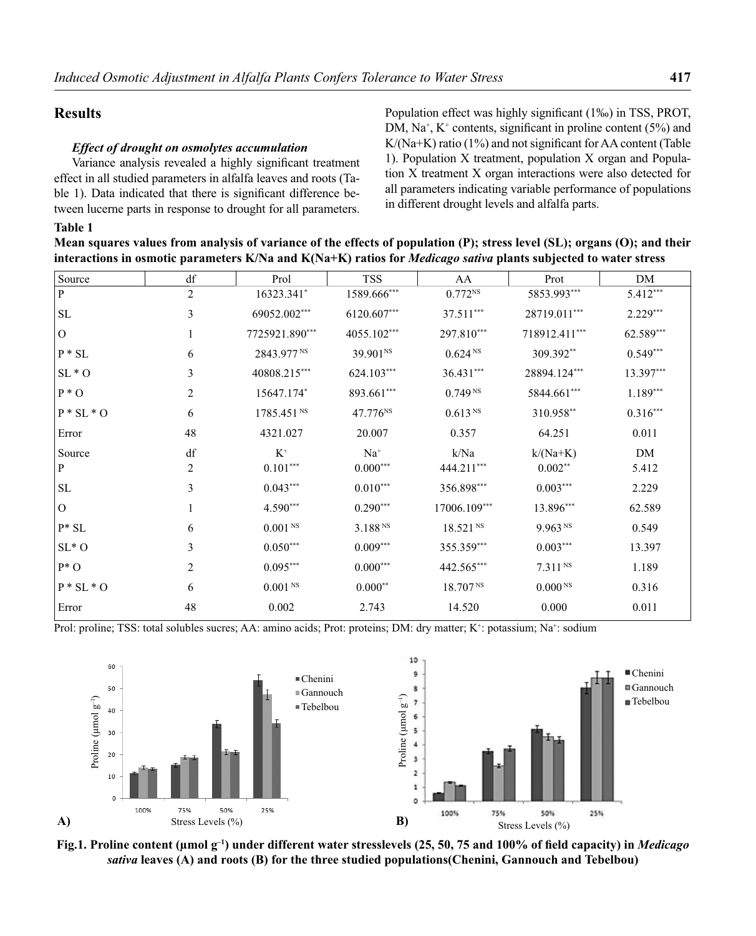### **Results**

### *Effect of drought on osmolytes accumulation*

Variance analysis revealed a highly significant treatment effect in all studied parameters in alfalfa leaves and roots (Table 1). Data indicated that there is significant difference between lucerne parts in response to drought for all parameters. Population effect was highly significant (1‰) in TSS, PROT, DM,  $Na^+$ ,  $K^+$  contents, significant in proline content (5%) and  $K/(Na+K)$  ratio (1%) and not significant for AA content (Table 1). Population X treatment, population X organ and Population X treatment X organ interactions were also detected for all parameters indicating variable performance of populations in different drought levels and alfalfa parts.

### **Table 1**

**Mean squares values from analysis of variance of the effects of population (P); stress level (SL); organs (O); and their interactions in osmotic parameters K/Na and K(Na+K) ratios for** *Medicago sativa* **plants subjected to water stress**

| Source            | df             | Prol                   | <b>TSS</b>           | AA                   | Prot                | DM         |
|-------------------|----------------|------------------------|----------------------|----------------------|---------------------|------------|
| ${\bf P}$         | $\overline{2}$ | 16323.341*             | 1589.666***          | $0.772^{NS}$         | 5853.993***         | $5.412***$ |
| <b>SL</b>         | 3              | 69052.002***           | 6120.607***          | 37.511***            | 28719.011***        | $2.229***$ |
| $\mathbf{O}$      | 1              | 7725921.890***         | 4055.102***          | 297.810***           | 718912.411***       | 62.589***  |
| $P * SL$          | 6              | 2843.977 NS            | 39.901 <sup>NS</sup> | 0.624 Ns             | 309.392**           | $0.549***$ |
| $SL*O$            | 3              | 40808.215***           | 624.103***           | $36.431***$          | 28894.124***        | 13.397***  |
| $P * O$           | $\overline{2}$ | 15647.174*             | 893.661***           | 0.749 <sup>NS</sup>  | 5844.661***         | $1.189***$ |
| $P * SL * O$      | 6              | 1785.451 <sup>NS</sup> | 47.776 <sup>NS</sup> | 0.613 <sup>NS</sup>  | 310.958**           | $0.316***$ |
| Error             | 48             | 4321.027               | 20.007               | 0.357                | 64.251              | 0.011      |
| Source            | df             | $K^+$                  | $Na+$                | k/Na                 | $k/(Na+K)$          | DM         |
| $\mathbf{P}$      | 2              | $0.101***$             | $0.000***$           | 444.211***           | $0.002**$           | 5.412      |
| <b>SL</b>         | 3              | $0.043***$             | $0.010***$           | 356.898***           | $0.003***$          | 2.229      |
| $\mathbf{O}$      |                | $4.590***$             | $0.290***$           | 17006.109***         | 13.896***           | 62.589     |
| $P^* SL$          | 6              | 0.001 <sup>NS</sup>    | 3.188 <sup>NS</sup>  | 18.521 <sup>NS</sup> | 9.963 N             | 0.549      |
| $\mathrm{SL}^*$ O | 3              | $0.050***$             | $0.009***$           | 355.359***           | $0.003***$          | 13.397     |
| $P^*O$            | 2              | $0.095***$             | $0.000***$           | 442.565***           | 7.311 <sup>NS</sup> | 1.189      |
| $P * SL * O$      | 6              | $0.001$ $^{\rm NS}$    | $0.000**$            | 18.707 <sup>NS</sup> | 0.000 <sup>NS</sup> | 0.316      |
| Error             | 48             | 0.002                  | 2.743                | 14.520               | 0.000               | 0.011      |

Prol: proline; TSS: total solubles sucres; AA: amino acids; Prot: proteins; DM: dry matter; K<sup>+</sup>: potassium; Na<sup>+</sup>: sodium



**Fig.1. Proline content (μmol g<sup>-1</sup>) under different water stresslevels (25, 50, 75 and 100% of field capacity) in** *Medicago sativa* **leaves (A) and roots (B) for the three studied populations(Chenini, Gannouch and Tebelbou)**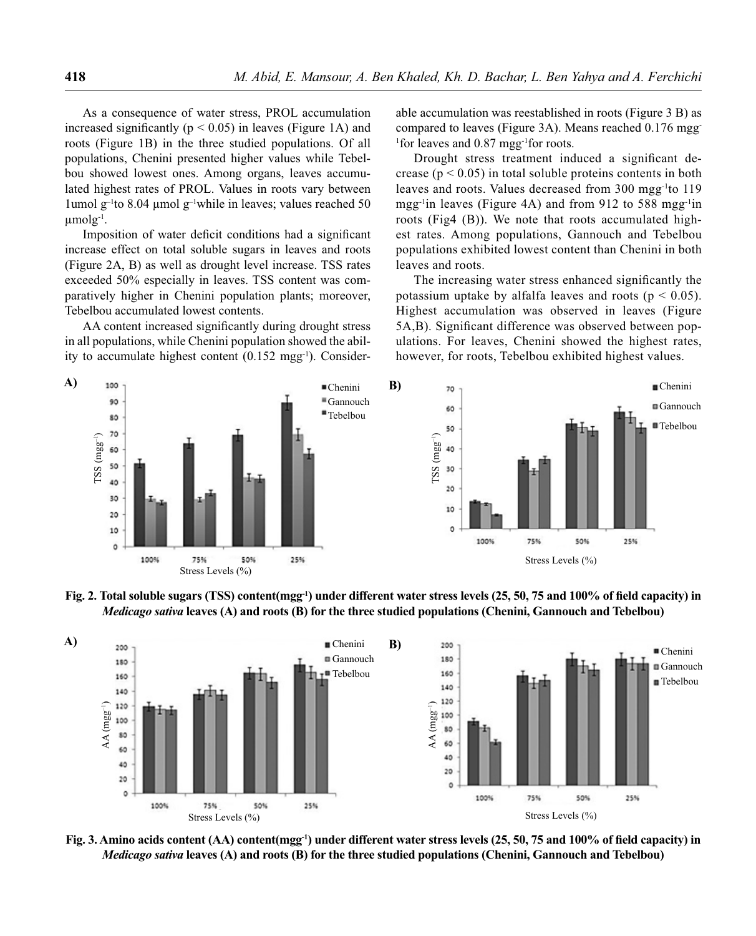As a consequence of water stress, PROL accumulation increased significantly ( $p < 0.05$ ) in leaves (Figure 1A) and roots (Figure 1B) in the three studied populations. Of all populations, Chenini presented higher values while Tebelbou showed lowest ones. Among organs, leaves accumulated highest rates of PROL. Values in roots vary between lumol g<sup>-1</sup>to 8.04 μmol g<sup>-1</sup>while in leaves; values reached 50  $\mu$ molg<sup>-1</sup>.

Imposition of water deficit conditions had a significant increase effect on total soluble sugars in leaves and roots (Figure 2A, B) as well as drought level increase. TSS rates exceeded 50% especially in leaves. TSS content was comparatively higher in Chenini population plants; moreover, Tebelbou accumulated lowest contents.

AA content increased significantly during drought stress in all populations, while Chenini population showed the ability to accumulate highest content  $(0.152 \text{ mag}^{-1})$ . Considerable accumulation was reestablished in roots (Figure 3 B) as compared to leaves (Figure 3A). Means reached 0.176 mgg-<sup>1</sup>for leaves and 0.87 mgg<sup>-1</sup>for roots.

Drought stress treatment induced a significant decrease ( $p < 0.05$ ) in total soluble proteins contents in both leaves and roots. Values decreased from 300 mgg-1to 119 mgg-1in leaves (Figure 4A) and from 912 to 588 mgg-1in roots (Fig4 (B)). We note that roots accumulated highest rates. Among populations, Gannouch and Tebelbou populations exhibited lowest content than Chenini in both leaves and roots.

The increasing water stress enhanced significantly the potassium uptake by alfalfa leaves and roots ( $p < 0.05$ ). Highest accumulation was observed in leaves (Figure 5A,B). Significant difference was observed between populations. For leaves, Chenini showed the highest rates, however, for roots, Tebelbou exhibited highest values.



Fig. 2. Total soluble sugars (TSS) content(mgg<sup>-1</sup>) under different water stress levels (25, 50, 75 and 100% of field capacity) in *Medicago sativa* **leaves (A) and roots (B) for the three studied populations (Chenini, Gannouch and Tebelbou)**



Fig. 3. Amino acids content (AA) content(mgg<sup>-1</sup>) under different water stress levels (25, 50, 75 and 100% of field capacity) in *Medicago sativa* **leaves (A) and roots (B) for the three studied populations (Chenini, Gannouch and Tebelbou)**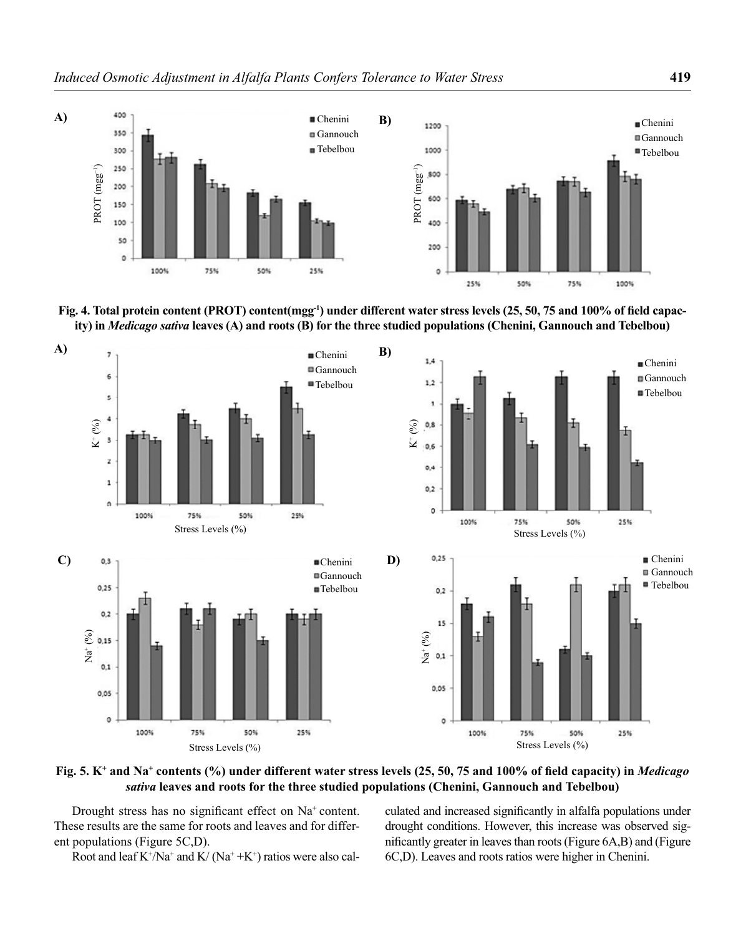





Fig. 5. K<sup>+</sup> and Na<sup>+</sup> contents (%) under different water stress levels (25, 50, 75 and 100% of field capacity) in *Medicago sativa* **leaves and roots for the three studied populations (Chenini, Gannouch and Tebelbou)**

Drought stress has no significant effect on  $Na<sup>+</sup>$  content. These results are the same for roots and leaves and for different populations (Figure 5C,D).

Root and leaf  $K^{\dagger}/Na^{\dagger}$  and  $K/~(Na^{\dagger}+K^{\dagger})$  ratios were also cal-

culated and increased significantly in alfalfa populations under drought conditions. However, this increase was observed significantly greater in leaves than roots (Figure  $6A$ , B) and (Figure 6C,D). Leaves and roots ratios were higher in Chenini.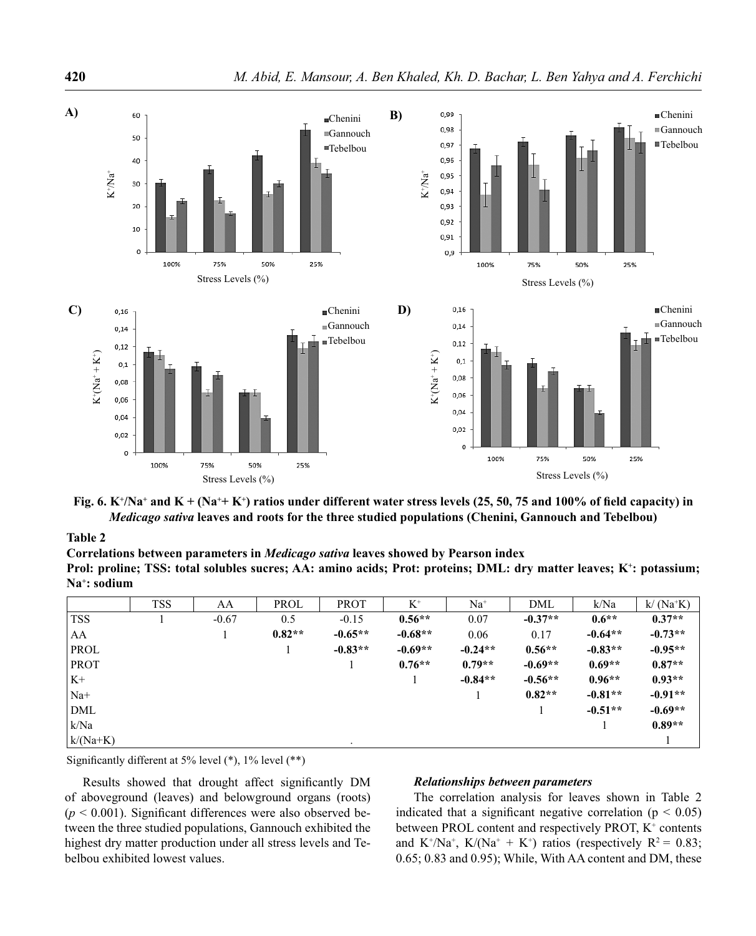

Fig. 6.  $K^{\dagger}/Na^{\dagger}$  and  $K + (Na^{\dagger} + K^{\dagger})$  ratios under different water stress levels (25, 50, 75 and 100% of field capacity) in *Medicago sativa* **leaves and roots for the three studied populations (Chenini, Gannouch and Tebelbou)**

### **Table 2**

**Correlations between parameters in** *Medicago sativa* **leaves showed by Pearson index Prol: proline; TSS: total solubles sucres; AA: amino acids; Prot: proteins; DML: dry matter leaves; K+: potassium; Na+: sodium**

|             | <b>TSS</b> | AA      | PROL     | <b>PROT</b> | $K^+$     | $Na+$     | DML       | k/Na      | $k/(Na+K)$ |
|-------------|------------|---------|----------|-------------|-----------|-----------|-----------|-----------|------------|
| <b>TSS</b>  |            | $-0.67$ | 0.5      | $-0.15$     | $0.56**$  | 0.07      | $-0.37**$ | $0.6**$   | $0.37**$   |
| AA          |            |         | $0.82**$ | $-0.65**$   | $-0.68**$ | 0.06      | 0.17      | $-0.64**$ | $-0.73**$  |
| <b>PROL</b> |            |         |          | $-0.83**$   | $-0.69**$ | $-0.24**$ | $0.56**$  | $-0.83**$ | $-0.95**$  |
| <b>PROT</b> |            |         |          |             | $0.76**$  | $0.79**$  | $-0.69**$ | $0.69**$  | $0.87**$   |
| $K+$        |            |         |          |             |           | $-0.84**$ | $-0.56**$ | $0.96**$  | $0.93**$   |
| $Na+$       |            |         |          |             |           |           | $0.82**$  | $-0.81**$ | $-0.91**$  |
| DML         |            |         |          |             |           |           |           | $-0.51**$ | $-0.69**$  |
| k/Na        |            |         |          |             |           |           |           |           | $0.89**$   |
| $k/(Na+K)$  |            |         |          |             |           |           |           |           |            |

Significantly different at 5% level  $(*)$ , 1% level  $(**)$ 

Results showed that drought affect significantly DM of aboveground (leaves) and belowground organs (roots)  $(p < 0.001)$ . Significant differences were also observed between the three studied populations, Gannouch exhibited the highest dry matter production under all stress levels and Tebelbou exhibited lowest values.

### *Relationships between parameters*

The correlation analysis for leaves shown in Table 2 indicated that a significant negative correlation ( $p < 0.05$ ) between PROL content and respectively PROT, K<sup>+</sup> contents and K<sup>+</sup>/Na<sup>+</sup>, K/(Na<sup>+</sup> + K<sup>+</sup>) ratios (respectively R<sup>2</sup> = 0.83; 0.65; 0.83 and 0.95); While, With AA content and DM, these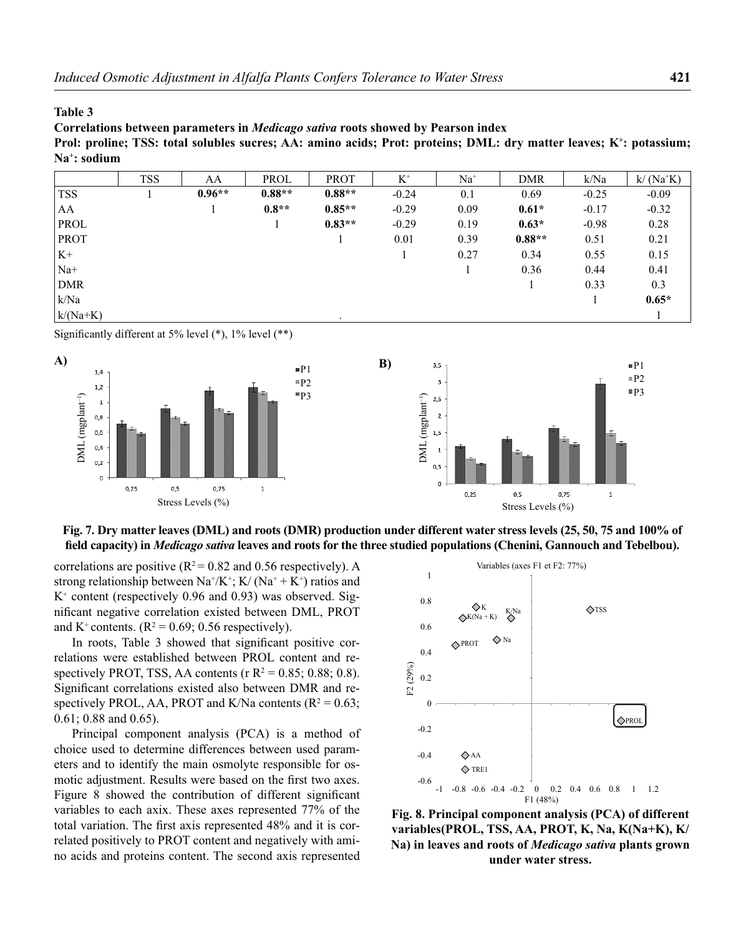#### **Table 3**

**Correlations between parameters in** *Medicago sativa* **roots showed by Pearson index** Prol: proline; TSS: total solubles sucres; AA: amino acids; Prot: proteins; DML: dry matter leaves; K<sup>+</sup>: potassium; **Na+: sodium**

|             | <b>TSS</b> | AA       | PROL     | <b>PROT</b> | $K^+$   | $Na+$ | <b>DMR</b> | k/Na    | $k/(Na+K)$ |
|-------------|------------|----------|----------|-------------|---------|-------|------------|---------|------------|
| <b>TSS</b>  |            | $0.96**$ | $0.88**$ | $0.88**$    | $-0.24$ | 0.1   | 0.69       | $-0.25$ | $-0.09$    |
| AA          |            |          | $0.8**$  | $0.85***$   | $-0.29$ | 0.09  | $0.61*$    | $-0.17$ | $-0.32$    |
| PROL        |            |          |          | $0.83**$    | $-0.29$ | 0.19  | $0.63*$    | $-0.98$ | 0.28       |
| <b>PROT</b> |            |          |          |             | 0.01    | 0.39  | $0.88**$   | 0.51    | 0.21       |
| $K+$        |            |          |          |             |         | 0.27  | 0.34       | 0.55    | 0.15       |
| $Na+$       |            |          |          |             |         |       | 0.36       | 0.44    | 0.41       |
| <b>DMR</b>  |            |          |          |             |         |       |            | 0.33    | 0.3        |
| k/Na        |            |          |          |             |         |       |            |         | $0.65*$    |
| $k/(Na+K)$  |            |          |          |             |         |       |            |         |            |

Significantly different at 5% level  $(*)$ , 1% level  $(**)$ 



### **Fig. 7. Dry matter leaves (DML) and roots (DMR) production under different water stress levels (25, 50, 75 and 100% of**  field capacity) in *Medicago sativa* leaves and roots for the three studied populations (Chenini, Gannouch and Tebelbou).

correlations are positive ( $R^2$  = 0.82 and 0.56 respectively). A strong relationship between  $\text{Na}^{\scriptscriptstyle +}/\text{K}^{\scriptscriptstyle +}$ ; K/ ( $\text{Na}^{\scriptscriptstyle +} + \text{K}^{\scriptscriptstyle +}$ ) ratios and K+ content (respectively 0.96 and 0.93) was observed. Significant negative correlation existed between DML, PROT and K<sup>+</sup> contents.  $(R^2 = 0.69; 0.56$  respectively).

In roots, Table 3 showed that significant positive correlations were established between PROL content and respectively PROT, TSS, AA contents ( $r R<sup>2</sup> = 0.85$ ; 0.88; 0.8). Significant correlations existed also between DMR and respectively PROL, AA, PROT and K/Na contents  $(R^2 = 0.63;$ 0.61; 0.88 and 0.65).

Principal component analysis (PCA) is a method of choice used to determine differences between used parameters and to identify the main osmolyte responsible for osmotic adjustment. Results were based on the first two axes. Figure 8 showed the contribution of different significant variables to each axix. These axes represented 77% of the total variation. The first axis represented 48% and it is correlated positively to PROT content and negatively with amino acids and proteins content. The second axis represented



 **Fig. 8. Principal component analysis (PCA) of different variables(PROL, TSS, AA, PROT, K, Na, K(Na+K), K/ Na) in leaves and roots of** *Medicago sativa* **plants grown under water stress.**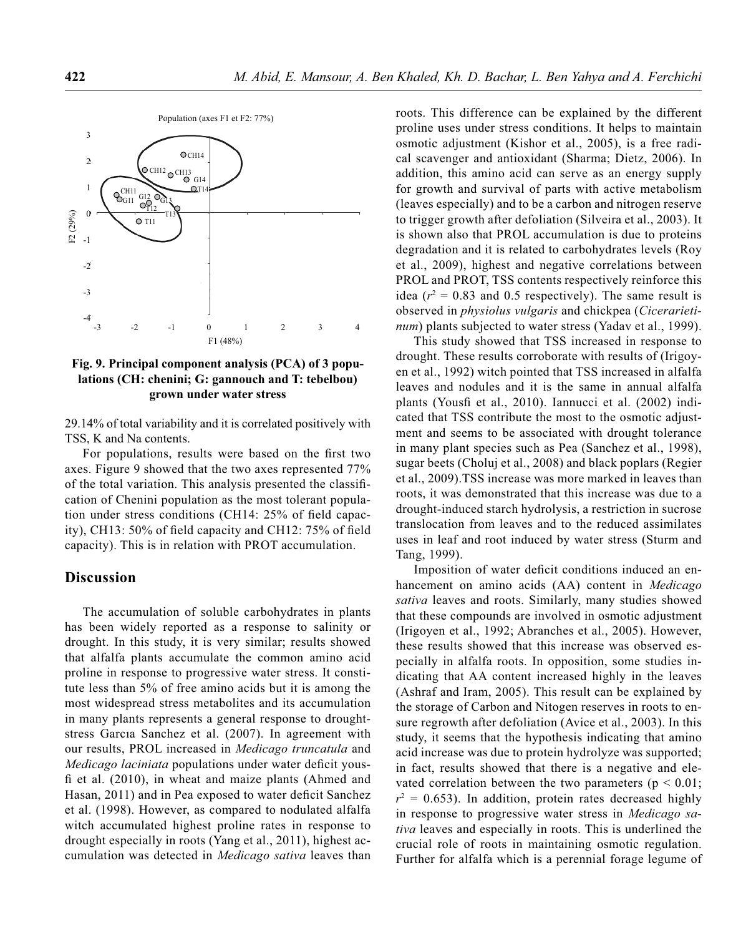

**Fig. 9. Principal component analysis (PCA) of 3 populations (CH: chenini; G: gannouch and T: tebelbou) grown under water stress**

29.14% of total variability and it is correlated positively with TSS, K and Na contents.

For populations, results were based on the first two axes. Figure 9 showed that the two axes represented 77% of the total variation. This analysis presented the classifi cation of Chenini population as the most tolerant population under stress conditions (CH14:  $25\%$  of field capacity), CH13:  $50\%$  of field capacity and CH12:  $75\%$  of field capacity). This is in relation with PROT accumulation.

### **Discussion**

The accumulation of soluble carbohydrates in plants has been widely reported as a response to salinity or drought. In this study, it is very similar; results showed that alfalfa plants accumulate the common amino acid proline in response to progressive water stress. It constitute less than 5% of free amino acids but it is among the most widespread stress metabolites and its accumulation in many plants represents a general response to droughtstress Garcıa Sanchez et al. (2007). In agreement with our results, PROL increased in *Medicago truncatula* and *Medicago laciniata* populations under water deficit yousfi et al. (2010), in wheat and maize plants (Ahmed and Hasan, 2011) and in Pea exposed to water deficit Sanchez et al. (1998). However, as compared to nodulated alfalfa witch accumulated highest proline rates in response to drought especially in roots (Yang et al., 2011), highest accumulation was detected in *Medicago sativa* leaves than roots. This difference can be explained by the different proline uses under stress conditions. It helps to maintain osmotic adjustment (Kishor et al., 2005), is a free radical scavenger and antioxidant (Sharma; Dietz, 2006). In addition, this amino acid can serve as an energy supply for growth and survival of parts with active metabolism (leaves especially) and to be a carbon and nitrogen reserve to trigger growth after defoliation (Silveira et al., 2003). It is shown also that PROL accumulation is due to proteins degradation and it is related to carbohydrates levels (Roy et al., 2009), highest and negative correlations between PROL and PROT, TSS contents respectively reinforce this idea ( $r^2 = 0.83$  and 0.5 respectively). The same result is observed in *physiolus vulgaris* and chickpea (*Cicerarietinum*) plants subjected to water stress (Yadav et al., 1999).

This study showed that TSS increased in response to drought. These results corroborate with results of (Irigoyen et al., 1992) witch pointed that TSS increased in alfalfa leaves and nodules and it is the same in annual alfalfa plants (Yousfi et al., 2010). Iannucci et al. (2002) indicated that TSS contribute the most to the osmotic adjustment and seems to be associated with drought tolerance in many plant species such as Pea (Sanchez et al., 1998), sugar beets (Choluj et al., 2008) and black poplars (Regier et al., 2009).TSS increase was more marked in leaves than roots, it was demonstrated that this increase was due to a drought-induced starch hydrolysis, a restriction in sucrose translocation from leaves and to the reduced assimilates uses in leaf and root induced by water stress (Sturm and Tang, 1999).

Imposition of water deficit conditions induced an enhancement on amino acids (AA) content in *Medicago sativa* leaves and roots. Similarly, many studies showed that these compounds are involved in osmotic adjustment (Irigoyen et al., 1992; Abranches et al., 2005). However, these results showed that this increase was observed especially in alfalfa roots. In opposition, some studies indicating that AA content increased highly in the leaves (Ashraf and Iram, 2005). This result can be explained by the storage of Carbon and Nitogen reserves in roots to ensure regrowth after defoliation (Avice et al., 2003). In this study, it seems that the hypothesis indicating that amino acid increase was due to protein hydrolyze was supported; in fact, results showed that there is a negative and elevated correlation between the two parameters ( $p < 0.01$ ;  $r^2 = 0.653$ ). In addition, protein rates decreased highly in response to progressive water stress in *Medicago sativa* leaves and especially in roots. This is underlined the crucial role of roots in maintaining osmotic regulation. Further for alfalfa which is a perennial forage legume of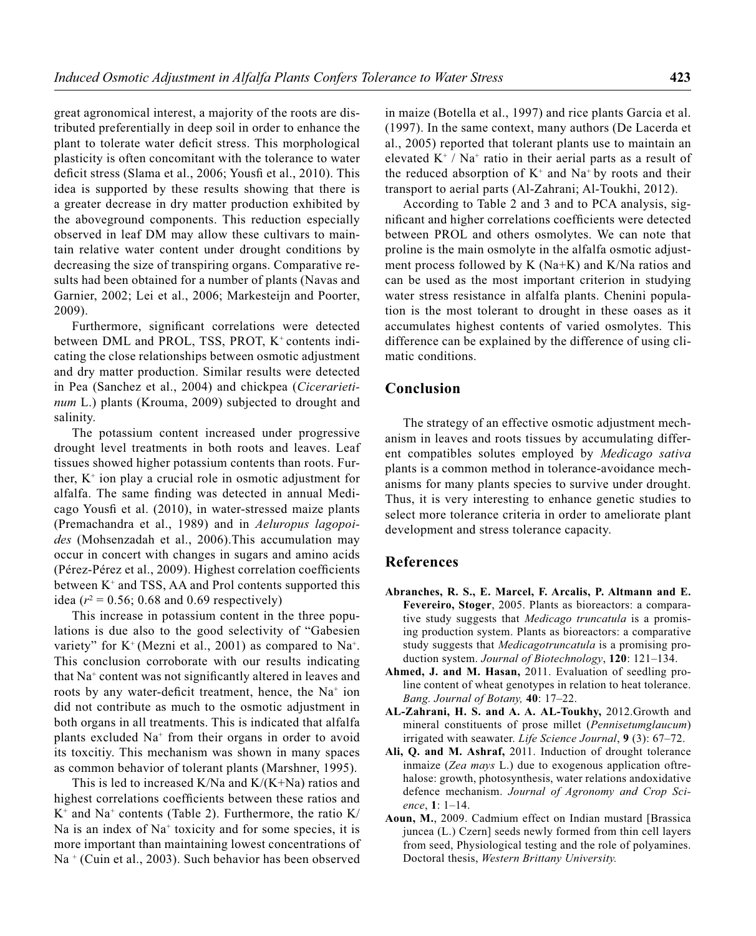great agronomical interest, a majority of the roots are distributed preferentially in deep soil in order to enhance the plant to tolerate water deficit stress. This morphological plasticity is often concomitant with the tolerance to water deficit stress (Slama et al., 2006; Yousfi et al., 2010). This idea is supported by these results showing that there is a greater decrease in dry matter production exhibited by the aboveground components. This reduction especially observed in leaf DM may allow these cultivars to maintain relative water content under drought conditions by decreasing the size of transpiring organs. Comparative results had been obtained for a number of plants (Navas and Garnier, 2002; Lei et al., 2006; Markesteijn and Poorter, 2009).

Furthermore, significant correlations were detected between DML and PROL, TSS, PROT, K<sup>+</sup> contents indicating the close relationships between osmotic adjustment and dry matter production. Similar results were detected in Pea (Sanchez et al., 2004) and chickpea (*Cicerarietinum* L.) plants (Krouma, 2009) subjected to drought and salinity.

The potassium content increased under progressive drought level treatments in both roots and leaves. Leaf tissues showed higher potassium contents than roots. Further,  $K^+$  ion play a crucial role in osmotic adjustment for alfalfa. The same finding was detected in annual Medicago Yousfi et al. (2010), in water-stressed maize plants (Premachandra et al., 1989) and in *Aeluropus lagopoides* (Mohsenzadah et al., 2006).This accumulation may occur in concert with changes in sugars and amino acids (Pérez-Pérez et al., 2009). Highest correlation coefficients between  $K^+$  and TSS, AA and Prol contents supported this idea ( $r^2 = 0.56$ ; 0.68 and 0.69 respectively)

This increase in potassium content in the three populations is due also to the good selectivity of "Gabesien variety" for  $K^+$  (Mezni et al., 2001) as compared to Na<sup>+</sup>. This conclusion corroborate with our results indicating that  $Na<sup>+</sup>$  content was not significantly altered in leaves and roots by any water-deficit treatment, hence, the  $Na<sup>+</sup>$  ion did not contribute as much to the osmotic adjustment in both organs in all treatments. This is indicated that alfalfa plants excluded Na+ from their organs in order to avoid its toxcitiy. This mechanism was shown in many spaces as common behavior of tolerant plants (Marshner, 1995).

This is led to increased K/Na and  $K/(K+Na)$  ratios and highest correlations coefficients between these ratios and  $K^+$  and Na<sup>+</sup> contents (Table 2). Furthermore, the ratio K/ Na is an index of  $Na<sup>+</sup>$  toxicity and for some species, it is more important than maintaining lowest concentrations of Na + (Cuin et al., 2003). Such behavior has been observed

in maize (Botella et al., 1997) and rice plants Garcia et al. (1997). In the same context, many authors (De Lacerda et al., 2005) reported that tolerant plants use to maintain an elevated  $K^+$  / Na<sup>+</sup> ratio in their aerial parts as a result of the reduced absorption of  $K^+$  and  $Na^+$  by roots and their transport to aerial parts (Al-Zahrani; Al-Toukhi, 2012).

According to Table 2 and 3 and to PCA analysis, significant and higher correlations coefficients were detected between PROL and others osmolytes. We can note that proline is the main osmolyte in the alfalfa osmotic adjustment process followed by K (Na+K) and K/Na ratios and can be used as the most important criterion in studying water stress resistance in alfalfa plants. Chenini population is the most tolerant to drought in these oases as it accumulates highest contents of varied osmolytes. This difference can be explained by the difference of using climatic conditions.

## **Conclusion**

The strategy of an effective osmotic adjustment mechanism in leaves and roots tissues by accumulating different compatibles solutes employed by *Medicago sativa*  plants is a common method in tolerance-avoidance mechanisms for many plants species to survive under drought. Thus, it is very interesting to enhance genetic studies to select more tolerance criteria in order to ameliorate plant development and stress tolerance capacity.

### **References**

- **Abranches, R. S., E. Marcel, F. Arcalis, P. Altmann and E. Fevereiro, Stoger**, 2005. Plants as bioreactors: a comparative study suggests that *Medicago truncatula* is a promising production system. Plants as bioreactors: a comparative study suggests that *Medicagotruncatula* is a promising production system. *Journal of Biotechnology*, **120**: 121–134.
- **Ahmed, J. and M. Hasan,** 2011. Evaluation of seedling proline content of wheat genotypes in relation to heat tolerance. *Bang. Journal of Botany,* **40**: 17–22.
- **AL-Zahrani, H. S. and A. A. AL-Toukhy,** 2012.Growth and mineral constituents of prose millet (*Pennisetumglaucum*) irrigated with seawater. *Life Science Journal*, **9** (3): 67–72.
- **Ali, Q. and M. Ashraf,** 2011. Induction of drought tolerance inmaize (*Zea mays* L.) due to exogenous application oftrehalose: growth, photosynthesis, water relations andoxidative defence mechanism. *Journal of Agronomy and Crop Science*, **1**: 1–14.
- **Aoun, M.**, 2009. Cadmium effect on Indian mustard [Brassica juncea (L.) Czern] seeds newly formed from thin cell layers from seed, Physiological testing and the role of polyamines. Doctoral thesis, *Western Brittany University.*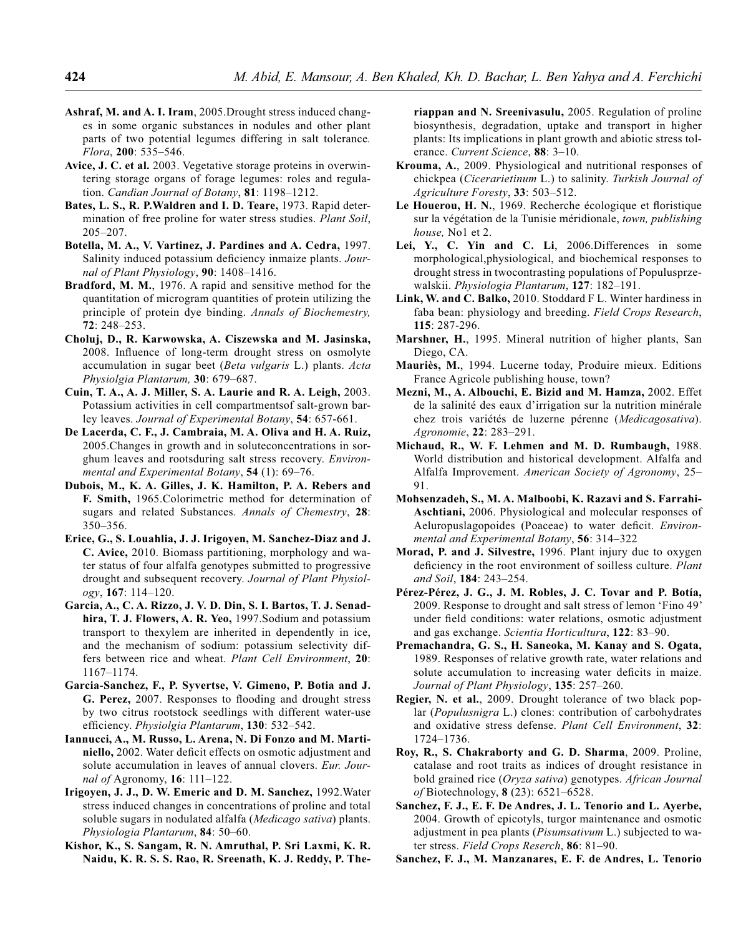- **Ashraf, M. and A. I. Iram**, 2005.Drought stress induced changes in some organic substances in nodules and other plant parts of two potential legumes differing in salt tolerance*. Flora*, **200**: 535–546.
- **Avice, J. C. et al.** 2003. Vegetative storage proteins in overwintering storage organs of forage legumes: roles and regulation. *Candian Journal of Botany*, **81**: 1198–1212.
- **Bates, L. S., R. P.Waldren and I. D. Teare,** 1973. Rapid determination of free proline for water stress studies. *Plant Soil*, 205–207.
- **Botella, M. A., V. Vartinez, J. Pardines and A. Cedra,** 1997. Salinity induced potassium deficiency inmaize plants. *Journal of Plant Physiology*, **90**: 1408–1416.
- **Bradford, M. M.**, 1976. A rapid and sensitive method for the quantitation of microgram quantities of protein utilizing the principle of protein dye binding. *Annals of Biochemestry,* **72**: 248–253.
- **Choluj, D., R. Karwowska, A. Ciszewska and M. Jasinska,**  2008. Influence of long-term drought stress on osmolyte accumulation in sugar beet (*Beta vulgaris* L.) plants. *Acta Physiolgia Plantarum,* **30**: 679–687.
- **Cuin, T. A., A. J. Miller, S. A. Laurie and R. A. Leigh,** 2003. Potassium activities in cell compartmentsof salt-grown barley leaves. *Journal of Experimental Botany*, **54**: 657-661.
- **De Lacerda, C. F., J. Cambraia, M. A. Oliva and H. A. Ruiz,**  2005.Changes in growth and in soluteconcentrations in sorghum leaves and rootsduring salt stress recovery. *Environmental and Experimental Botany*, **54** (1): 69–76.
- **Dubois, M., K. A. Gilles, J. K. Hamilton, P. A. Rebers and F. Smith,** 1965.Colorimetric method for determination of sugars and related Substances. *Annals of Chemestry*, **28**: 350–356.
- **Erice, G., S. Louahlia, J. J. Irigoyen, M. Sanchez-Diaz and J. C. Avice,** 2010. Biomass partitioning, morphology and water status of four alfalfa genotypes submitted to progressive drought and subsequent recovery. *Journal of Plant Physiology*, **167**: 114–120.
- **Garcia, A., C. A. Rizzo, J. V. D. Din, S. I. Bartos, T. J. Senadhira, T. J. Flowers, A. R. Yeo,** 1997.Sodium and potassium transport to thexylem are inherited in dependently in ice, and the mechanism of sodium: potassium selectivity differs between rice and wheat. *Plant Cell Environment*, **20**: 1167–1174.
- **Garcia-Sanchez, F., P. Syvertse, V. Gimeno, P. Botia and J. G. Perez,** 2007. Responses to flooding and drought stress by two citrus rootstock seedlings with different water-use efficiency. *Physiolgia Plantarum*, 130: 532-542.
- **Iannucci, A., M. Russo, L. Arena, N. Di Fonzo and M. Marti**niello, 2002. Water deficit effects on osmotic adjustment and solute accumulation in leaves of annual clovers. *Eur. Journal of* Agronomy, **16**: 111–122.
- **Irigoyen, J. J., D. W. Emeric and D. M. Sanchez,** 1992.Water stress induced changes in concentrations of proline and total soluble sugars in nodulated alfalfa (*Medicago sativa*) plants. *Physiologia Plantarum*, **84**: 50–60.
- **Kishor, K., S. Sangam, R. N. Amruthal, P. Sri Laxmi, K. R. Naidu, K. R. S. S. Rao, R. Sreenath, K. J. Reddy, P. The-**

**riappan and N. Sreenivasulu,** 2005. Regulation of proline biosynthesis, degradation, uptake and transport in higher plants: Its implications in plant growth and abiotic stress tolerance. *Current Science*, **88**: 3–10.

- **Krouma, A.**, 2009. Physiological and nutritional responses of chickpea (*Cicerarietinum* L.) to salinity. *Turkish Journal of Agriculture Foresty*, **33**: 503–512.
- Le Houerou, H. N., 1969. Recherche écologique et floristique sur la végétation de la Tunisie méridionale, *town, publishing house,* No1 et 2.
- **Lei, Y., C. Yin and C. Li**, 2006.Differences in some morphological,physiological, and biochemical responses to drought stress in twocontrasting populations of Populusprzewalskii. *Physiologia Plantarum*, **127**: 182–191.
- **Link, W. and C. Balko,** 2010. Stoddard F L. Winter hardiness in faba bean: physiology and breeding. *Field Crops Research*, **115**: 287-296.
- **Marshner, H.**, 1995. Mineral nutrition of higher plants, San Diego, CA.
- **Mauriès, M.**, 1994. Lucerne today, Produire mieux. Editions France Agricole publishing house, town?
- **Mezni, M., A. Albouchi, E. Bizid and M. Hamza,** 2002. Effet de la salinité des eaux d'irrigation sur la nutrition minérale chez trois variétés de luzerne pérenne (*Medicagosativa*). *Agronomie*, **22**: 283–291.
- **Michaud, R., W. F. Lehmen and M. D. Rumbaugh,** 1988. World distribution and historical development. Alfalfa and Alfalfa Improvement. *American Society of Agronomy*, 25– 91.
- **Mohsenzadeh, S., M. A. Malboobi, K. Razavi and S. Farrahi-Aschtiani,** 2006. Physiological and molecular responses of Aeluropuslagopoides (Poaceae) to water deficit. *Environmental and Experimental Botany*, **56**: 314–322
- **Morad, P. and J. Silvestre,** 1996. Plant injury due to oxygen deficiency in the root environment of soilless culture. *Plant and Soil*, **184**: 243–254.
- **Pérez-Pérez, J. G., J. M. Robles, J. C. Tovar and P. Botía,**  2009. Response to drought and salt stress of lemon 'Fino 49' under field conditions: water relations, osmotic adjustment and gas exchange. *Scientia Horticultura*, **122**: 83–90.
- **Premachandra, G. S., H. Saneoka, M. Kanay and S. Ogata,**  1989. Responses of relative growth rate, water relations and solute accumulation to increasing water deficits in maize. *Journal of Plant Physiology*, **135**: 257–260.
- **Regier, N. et al.**, 2009. Drought tolerance of two black poplar (*Populusnigra* L.) clones: contribution of carbohydrates and oxidative stress defense. *Plant Cell Environment*, **32**: 1724–1736.
- **Roy, R., S. Chakraborty and G. D. Sharma**, 2009. Proline, catalase and root traits as indices of drought resistance in bold grained rice (*Oryza sativa*) genotypes. *African Journal of* Biotechnology, **8** (23): 6521–6528.
- **Sanchez, F. J., E. F. De Andres, J. L. Tenorio and L. Ayerbe,**  2004. Growth of epicotyls, turgor maintenance and osmotic adjustment in pea plants (*Pisumsativum* L.) subjected to water stress. *Field Crops Reserch*, **86**: 81–90.
- **Sanchez, F. J., M. Manzanares, E. F. de Andres, L. Tenorio**